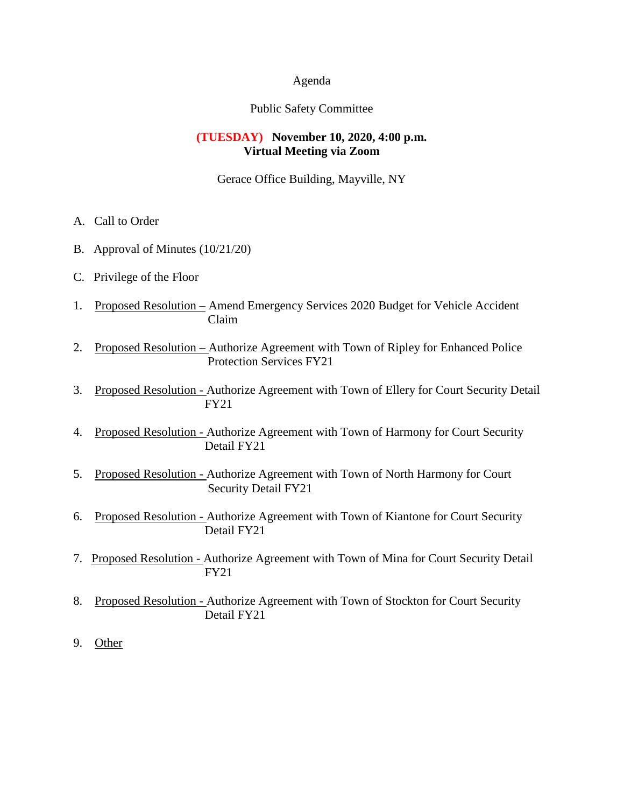#### Agenda

#### Public Safety Committee

#### **(TUESDAY) November 10, 2020, 4:00 p.m. Virtual Meeting via Zoom**

Gerace Office Building, Mayville, NY

- A. Call to Order
- B. Approval of Minutes (10/21/20)
- C. Privilege of the Floor
- 1. Proposed Resolution Amend Emergency Services 2020 Budget for Vehicle Accident Claim
- 2. Proposed Resolution Authorize Agreement with Town of Ripley for Enhanced Police Protection Services FY21
- 3. Proposed Resolution Authorize Agreement with Town of Ellery for Court Security Detail FY21
- 4. Proposed Resolution Authorize Agreement with Town of Harmony for Court Security Detail FY21
- 5. Proposed Resolution Authorize Agreement with Town of North Harmony for Court Security Detail FY21
- 6. Proposed Resolution Authorize Agreement with Town of Kiantone for Court Security Detail FY21
- 7. Proposed Resolution Authorize Agreement with Town of Mina for Court Security Detail FY21
- 8. Proposed Resolution Authorize Agreement with Town of Stockton for Court Security Detail FY21
- 9. Other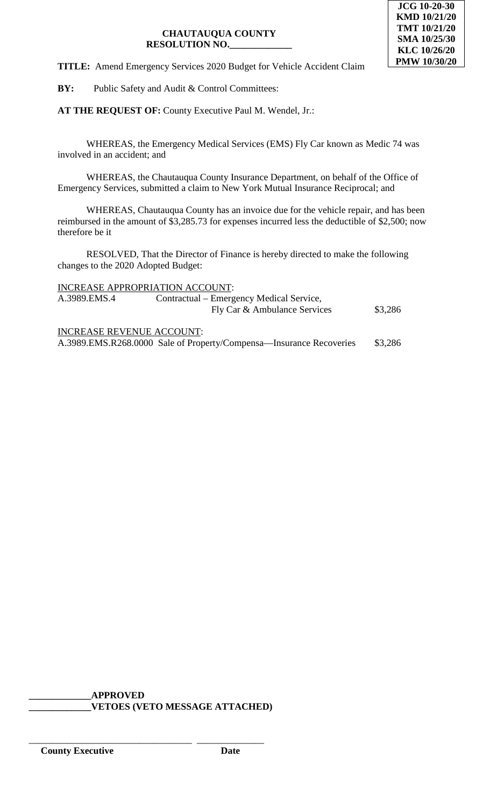**TITLE:** Amend Emergency Services 2020 Budget for Vehicle Accident Claim

**BY:** Public Safety and Audit & Control Committees:

**AT THE REQUEST OF:** County Executive Paul M. Wendel, Jr.:

WHEREAS, the Emergency Medical Services (EMS) Fly Car known as Medic 74 was involved in an accident; and

WHEREAS, the Chautauqua County Insurance Department, on behalf of the Office of Emergency Services, submitted a claim to New York Mutual Insurance Reciprocal; and

WHEREAS, Chautauqua County has an invoice due for the vehicle repair, and has been reimbursed in the amount of \$3,285.73 for expenses incurred less the deductible of \$2,500; now therefore be it

RESOLVED, That the Director of Finance is hereby directed to make the following changes to the 2020 Adopted Budget:

INCREASE APPROPRIATION ACCOUNT: A.3989.EMS.4 Contractual – Emergency Medical Service, Fly Car & Ambulance Services \$3,286

INCREASE REVENUE ACCOUNT: A.3989.EMS.R268.0000 Sale of Property/Compensa—Insurance Recoveries \$3,286

**\_\_\_\_\_\_\_\_\_\_\_\_\_APPROVED \_\_\_\_\_\_\_\_\_\_\_\_\_VETOES (VETO MESSAGE ATTACHED)**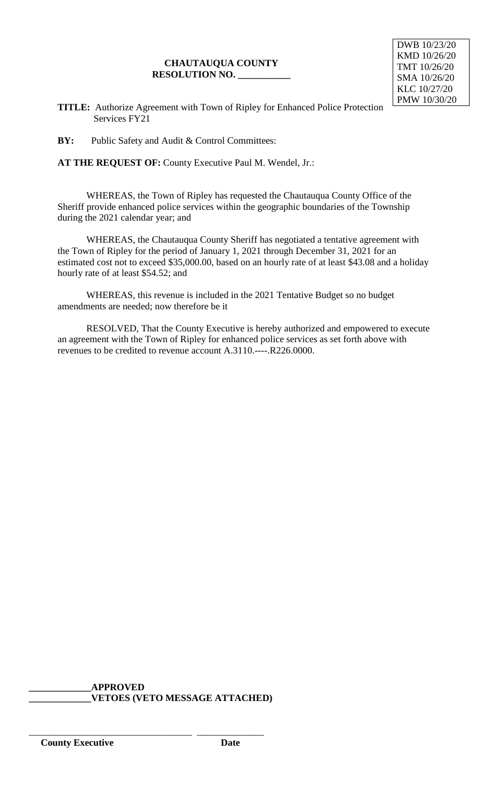**TITLE:** Authorize Agreement with Town of Ripley for Enhanced Police Protection Services FY21

**BY:** Public Safety and Audit & Control Committees:

**AT THE REQUEST OF:** County Executive Paul M. Wendel, Jr.:

WHEREAS, the Town of Ripley has requested the Chautauqua County Office of the Sheriff provide enhanced police services within the geographic boundaries of the Township during the 2021 calendar year; and

WHEREAS, the Chautauqua County Sheriff has negotiated a tentative agreement with the Town of Ripley for the period of January 1, 2021 through December 31, 2021 for an estimated cost not to exceed \$35,000.00, based on an hourly rate of at least \$43.08 and a holiday hourly rate of at least \$54.52; and

WHEREAS, this revenue is included in the 2021 Tentative Budget so no budget amendments are needed; now therefore be it

RESOLVED, That the County Executive is hereby authorized and empowered to execute an agreement with the Town of Ripley for enhanced police services as set forth above with revenues to be credited to revenue account A.3110.----.R226.0000.

**\_\_\_\_\_\_\_\_\_\_\_\_\_APPROVED \_\_\_\_\_\_\_\_\_\_\_\_\_VETOES (VETO MESSAGE ATTACHED)**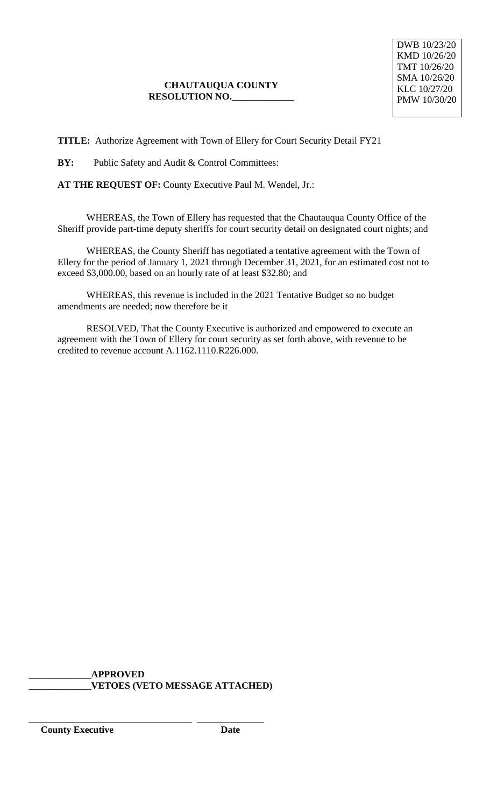**TITLE:** Authorize Agreement with Town of Ellery for Court Security Detail FY21

**BY:** Public Safety and Audit & Control Committees:

**AT THE REQUEST OF:** County Executive Paul M. Wendel, Jr.:

WHEREAS, the Town of Ellery has requested that the Chautauqua County Office of the Sheriff provide part-time deputy sheriffs for court security detail on designated court nights; and

WHEREAS, the County Sheriff has negotiated a tentative agreement with the Town of Ellery for the period of January 1, 2021 through December 31, 2021, for an estimated cost not to exceed \$3,000.00, based on an hourly rate of at least \$32.80; and

WHEREAS, this revenue is included in the 2021 Tentative Budget so no budget amendments are needed; now therefore be it

RESOLVED, That the County Executive is authorized and empowered to execute an agreement with the Town of Ellery for court security as set forth above, with revenue to be credited to revenue account A.1162.1110.R226.000.

**\_\_\_\_\_\_\_\_\_\_\_\_\_APPROVED \_\_\_\_\_\_\_\_\_\_\_\_\_VETOES (VETO MESSAGE ATTACHED)**

\_\_\_\_\_\_\_\_\_\_\_\_\_\_\_\_\_\_\_\_\_\_\_\_\_\_\_\_\_\_\_\_\_\_ \_\_\_\_\_\_\_\_\_\_\_\_\_\_

**County Executive Date**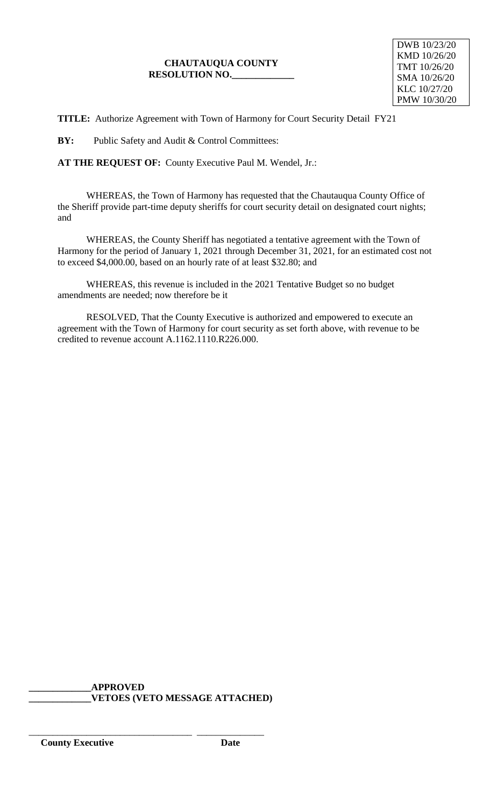DWB 10/23/20 KMD 10/26/20 TMT 10/26/20 SMA 10/26/20 KLC 10/27/20 PMW 10/30/20

**TITLE:** Authorize Agreement with Town of Harmony for Court Security Detail FY21

**BY:** Public Safety and Audit & Control Committees:

**AT THE REQUEST OF:** County Executive Paul M. Wendel, Jr.:

WHEREAS, the Town of Harmony has requested that the Chautauqua County Office of the Sheriff provide part-time deputy sheriffs for court security detail on designated court nights; and

WHEREAS, the County Sheriff has negotiated a tentative agreement with the Town of Harmony for the period of January 1, 2021 through December 31, 2021, for an estimated cost not to exceed \$4,000.00, based on an hourly rate of at least \$32.80; and

WHEREAS, this revenue is included in the 2021 Tentative Budget so no budget amendments are needed; now therefore be it

RESOLVED, That the County Executive is authorized and empowered to execute an agreement with the Town of Harmony for court security as set forth above, with revenue to be credited to revenue account A.1162.1110.R226.000.

**\_\_\_\_\_\_\_\_\_\_\_\_\_APPROVED \_\_\_\_\_\_\_\_\_\_\_\_\_VETOES (VETO MESSAGE ATTACHED)**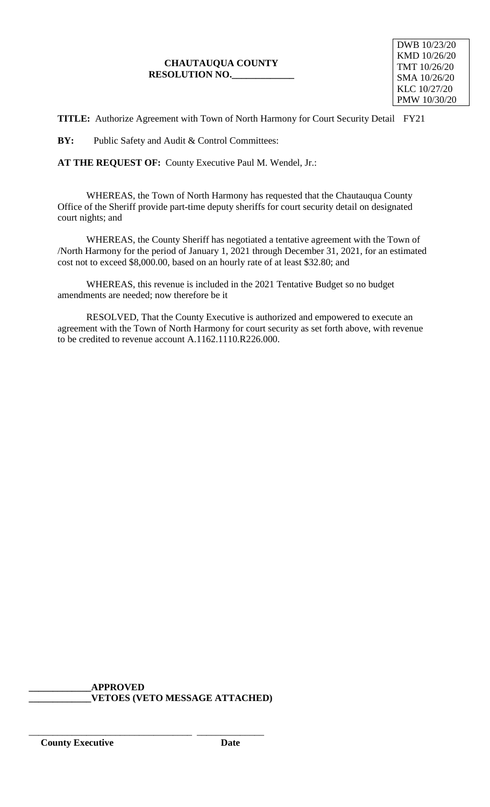DWB 10/23/20 KMD 10/26/20 TMT 10/26/20 SMA 10/26/20 KLC 10/27/20 PMW 10/30/20

**TITLE:** Authorize Agreement with Town of North Harmony for Court Security Detail FY21

**BY:** Public Safety and Audit & Control Committees:

**AT THE REQUEST OF:** County Executive Paul M. Wendel, Jr.:

WHEREAS, the Town of North Harmony has requested that the Chautauqua County Office of the Sheriff provide part-time deputy sheriffs for court security detail on designated court nights; and

WHEREAS, the County Sheriff has negotiated a tentative agreement with the Town of /North Harmony for the period of January 1, 2021 through December 31, 2021, for an estimated cost not to exceed \$8,000.00, based on an hourly rate of at least \$32.80; and

WHEREAS, this revenue is included in the 2021 Tentative Budget so no budget amendments are needed; now therefore be it

RESOLVED, That the County Executive is authorized and empowered to execute an agreement with the Town of North Harmony for court security as set forth above, with revenue to be credited to revenue account A.1162.1110.R226.000.

**\_\_\_\_\_\_\_\_\_\_\_\_\_APPROVED \_\_\_\_\_\_\_\_\_\_\_\_\_VETOES (VETO MESSAGE ATTACHED)**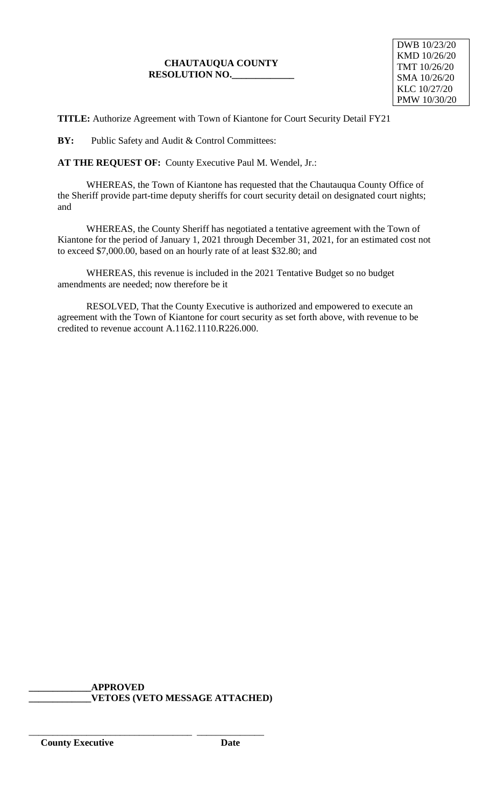DWB 10/23/20 KMD 10/26/20 TMT 10/26/20 SMA 10/26/20 KLC 10/27/20 PMW 10/30/20

**TITLE:** Authorize Agreement with Town of Kiantone for Court Security Detail FY21

**BY:** Public Safety and Audit & Control Committees:

**AT THE REQUEST OF:** County Executive Paul M. Wendel, Jr.:

WHEREAS, the Town of Kiantone has requested that the Chautauqua County Office of the Sheriff provide part-time deputy sheriffs for court security detail on designated court nights; and

WHEREAS, the County Sheriff has negotiated a tentative agreement with the Town of Kiantone for the period of January 1, 2021 through December 31, 2021, for an estimated cost not to exceed \$7,000.00, based on an hourly rate of at least \$32.80; and

WHEREAS, this revenue is included in the 2021 Tentative Budget so no budget amendments are needed; now therefore be it

RESOLVED, That the County Executive is authorized and empowered to execute an agreement with the Town of Kiantone for court security as set forth above, with revenue to be credited to revenue account A.1162.1110.R226.000.

**\_\_\_\_\_\_\_\_\_\_\_\_\_APPROVED \_\_\_\_\_\_\_\_\_\_\_\_\_VETOES (VETO MESSAGE ATTACHED)**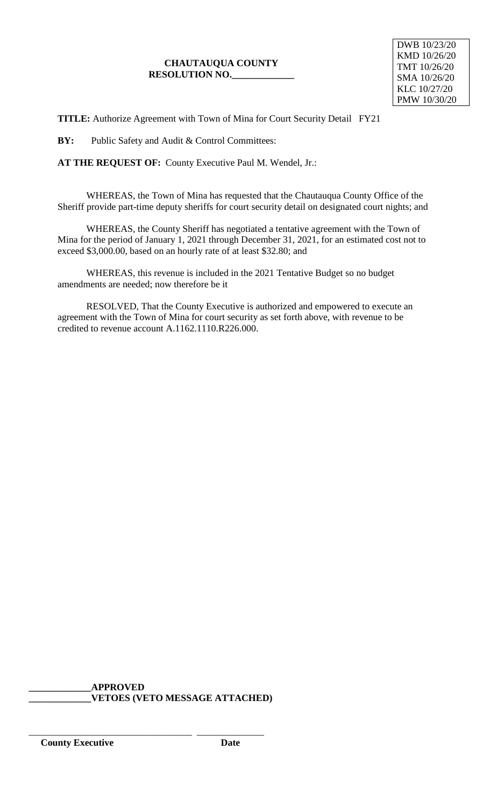DWB 10/23/20 KMD 10/26/20 TMT 10/26/20 SMA 10/26/20 KLC 10/27/20 PMW 10/30/20

**TITLE:** Authorize Agreement with Town of Mina for Court Security Detail FY21

**BY:** Public Safety and Audit & Control Committees:

**AT THE REQUEST OF:** County Executive Paul M. Wendel, Jr.:

WHEREAS, the Town of Mina has requested that the Chautauqua County Office of the Sheriff provide part-time deputy sheriffs for court security detail on designated court nights; and

WHEREAS, the County Sheriff has negotiated a tentative agreement with the Town of Mina for the period of January 1, 2021 through December 31, 2021, for an estimated cost not to exceed \$3,000.00, based on an hourly rate of at least \$32.80; and

WHEREAS, this revenue is included in the 2021 Tentative Budget so no budget amendments are needed; now therefore be it

RESOLVED, That the County Executive is authorized and empowered to execute an agreement with the Town of Mina for court security as set forth above, with revenue to be credited to revenue account A.1162.1110.R226.000.

**\_\_\_\_\_\_\_\_\_\_\_\_\_APPROVED \_\_\_\_\_\_\_\_\_\_\_\_\_VETOES (VETO MESSAGE ATTACHED)**